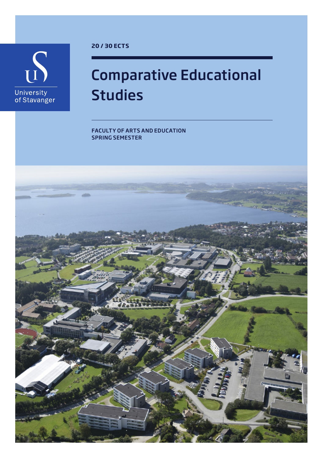

**20 / 30 ECTS**

## Comparative Educational Studies

FACULTY OF ARTS AND EDUCATION SPRING SEMESTER

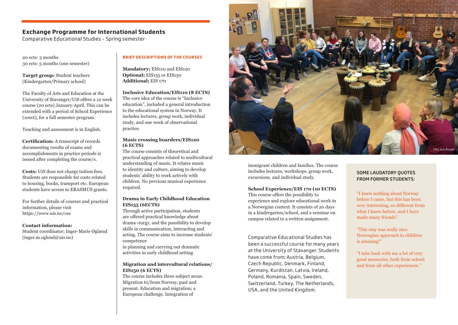### **Exchange Programme for International Students**

Comparative Educational Studies – Spring semester

20 ects: 3 months 30 ects: 5 months (one semester)

**Target group:** Student teachers (Kindergarten/Primary school)

The Faculty of Arts and Education at the University of Stavanger/UiS offers a 12 week course (20 ects) January-April. This can be extended with a period of School Experience (10ect), for a full semester program.

Teaching and assessment is in English.

**Certification:** A transcript of records documenting results of exams and accomplishments in practice periods is issued after completing the course/s.

**Costs:** UiS does not charge tuition fees. Students are responsible for costs related to housing, books, transport etc. European students have access to ERASMUS grants.

For further details of courses and practical information, please visit https://www.uis.no/ces

**Contact information:** 

Student coordinator; Inger-Marie Øglænd (inger.m.oglend@uis.no)

#### **BRIEF DESCRIPTIONS OF THE COURSES**

**Mandatory;** EIS110 and EIS120 **Optional;** EIS155 or EIS150 **Additional;** EIS 170

**Inclusive Education/EIS110 (8 ECTS)** The core idea of the course is "Inclusive education", included a general introduction to the educational system in Norway. It includes lectures, group work, individual study, and one week of observational practice.

#### **Music crossing boarders/EIS120 (6 ECTS)**

The course consists of theoretical and practical approaches related to multicultural understanding of music. It relates music to identity and culture, aiming to develop students' ability to work actively with children. No previous musical experience required.

#### **Drama in Early Childhood Education EIS155 (6ECTS)**

Through active participation, students are offered practical knowledge about drama¬turgy, and the possibility to develop skills in communication, interacting and acting. The course aims to increase students' competence

in planning and carrying out dramatic activities in early childhood setting

#### **Migration and intercultural relations/ EIS150 (6 ECTS)**

The course includes three subject areas: Migration to/from Norway, past and present. Education and migration; a European challenge. Integration of



immigrant children and families. The course includes lectures, workshops, group work, excursions, and individual study.

#### **School Experience/EIS 170 (10 ECTS)**

This course offers the possibility to experience and explore educational work in a Norwegian context. It consists of 20 days in a kindergarten/school, and a seminar on campus related to a written assignment.

Comparative Educational Studies has been a successful course for many years at the University of Stavanger. Students have come from; Austria, Belgium, Czech Republic, Denmark, Finland, Germany, Kurdistan, Latvia, Ireland, Poland, Romania, Spain, Sweden, Switzerland, Turkey, The Netherlands, USA, and the United Kingdom.

#### SOME LAUDATORY QUOTES FROM FORMER STUDENTS:

"I knew nothing about Norway before I came, but this has been very interesting, so different from what I knew before, and I have made many friends".

"This stay was really nice. Norwegian approach to children is amazing!"

"I take back with me a lot of very good memories, both from school and from all other experiences."